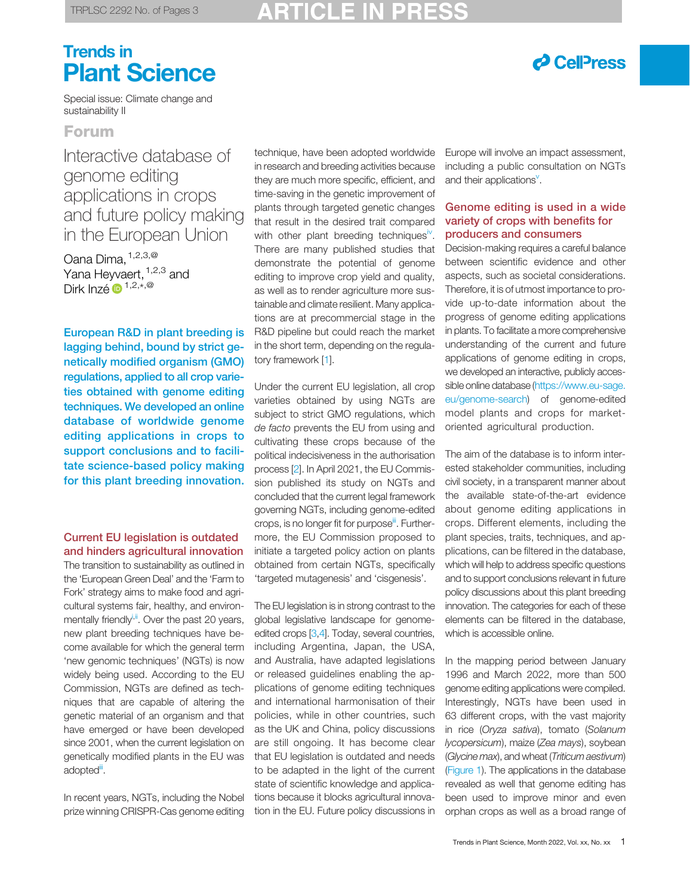# Trends in Plant Science

# $\partial$  CellPress

Special issue: Climate change and sustainability II

### Forum

Interactive database of genome editing applications in crops and future policy making in the European Union

Oana Dima, [1,2,3,@](#page-2-0) Yana Heyvaert, <sup>[1,2](#page-2-0),[3](#page-2-0)</sup> and Dirk Inzé  $\mathbf{D}^{1,2,\star,\mathcal{Q}}$ 

European R&D in plant breeding is lagging behind, bound by strict genetically modified organism (GMO) regulations, applied to all crop varieties obtained with genome editing techniques. We developed an online database of worldwide genome editing applications in crops to support conclusions and to facilitate science-based policy making for this plant breeding innovation.

#### Current EU legislation is outdated and hinders agricultural innovation

The transition to sustainability as outlined in the 'European Green Deal' and the 'Farm to Fork' strategy aims to make food and agricultural systems fair, healthy, and environmentally friendly<sup>i,ii</sup>. Over the past 20 years, new plant breeding techniques have become available for which the general term 'new genomic techniques' (NGTs) is now widely being used. According to the EU Commission, NGTs are defined as techniques that are capable of altering the genetic material of an organism and that have emerged or have been developed since 2001, when the current legislation on genetically modified plants in the EU was adoptedii.

In recent years, NGTs, including the Nobel prize winning CRISPR-Cas genome editing

technique, have been adopted worldwide in research and breeding activities because they are much more specific, efficient, and time-saving in the genetic improvement of plants through targeted genetic changes that result in the desired trait compared with other plant breeding techniques<sup>[iv](#page-2-0)</sup>. There are many published studies that demonstrate the potential of genome editing to improve crop yield and quality, as well as to render agriculture more sustainable and climate resilient. Many applications are at precommercial stage in the R&D pipeline but could reach the market in the short term, depending on the regulatory framework [\[1](#page-2-0)].

Under the current EU legislation, all crop varieties obtained by using NGTs are subject to strict GMO regulations, which de facto prevents the EU from using and cultivating these crops because of the political indecisiveness in the authorisation process [[2\]](#page-2-0). In April 2021, the EU Commission published its study on NGTs and concluded that the current legal framework governing NGTs, including genome-edited crops, is no longer fit for purpose<sup>ii</sup>. Furthermore, the EU Commission proposed to initiate a targeted policy action on plants obtained from certain NGTs, specifically 'targeted mutagenesis' and 'cisgenesis'.

The EU legislation is in strong contrast to the global legislative landscape for genomeedited crops [\[3,4\]](#page-2-0). Today, several countries, including Argentina, Japan, the USA, and Australia, have adapted legislations or released guidelines enabling the applications of genome editing techniques and international harmonisation of their policies, while in other countries, such as the UK and China, policy discussions are still ongoing. It has become clear that EU legislation is outdated and needs to be adapted in the light of the current state of scientific knowledge and applications because it blocks agricultural innovation in the EU. Future policy discussions in Europe will involve an impact assessment, including a public consultation on NGTs and their applications<sup>[v](#page-2-0)</sup>.

### Genome editing is used in a wide variety of crops with benefits for producers and consumers

Decision-making requires a careful balance between scientific evidence and other aspects, such as societal considerations. Therefore, it is of utmost importance to provide up-to-date information about the progress of genome editing applications in plants. To facilitate a more comprehensive understanding of the current and future applications of genome editing in crops, we developed an interactive, publicly accessible online database ([https://www.eu-sage.](https://www.eu-sage.eu/genome-search) [eu/genome-search\)](https://www.eu-sage.eu/genome-search) of genome-edited model plants and crops for marketoriented agricultural production.

The aim of the database is to inform interested stakeholder communities, including civil society, in a transparent manner about the available state-of-the-art evidence about genome editing applications in crops. Different elements, including the plant species, traits, techniques, and applications, can be filtered in the database, which will help to address specific questions and to support conclusions relevant in future policy discussions about this plant breeding innovation. The categories for each of these elements can be filtered in the database, which is accessible online.

In the mapping period between January 1996 and March 2022, more than 500 genome editing applications were compiled. Interestingly, NGTs have been used in 63 different crops, with the vast majority in rice (Oryza sativa), tomato (Solanum lycopersicum), maize (Zea mays), soybean (Glycine max), and wheat (Triticum aestivum) [\(Figure 1](#page-1-0)). The applications in the database revealed as well that genome editing has been used to improve minor and even orphan crops as well as a broad range of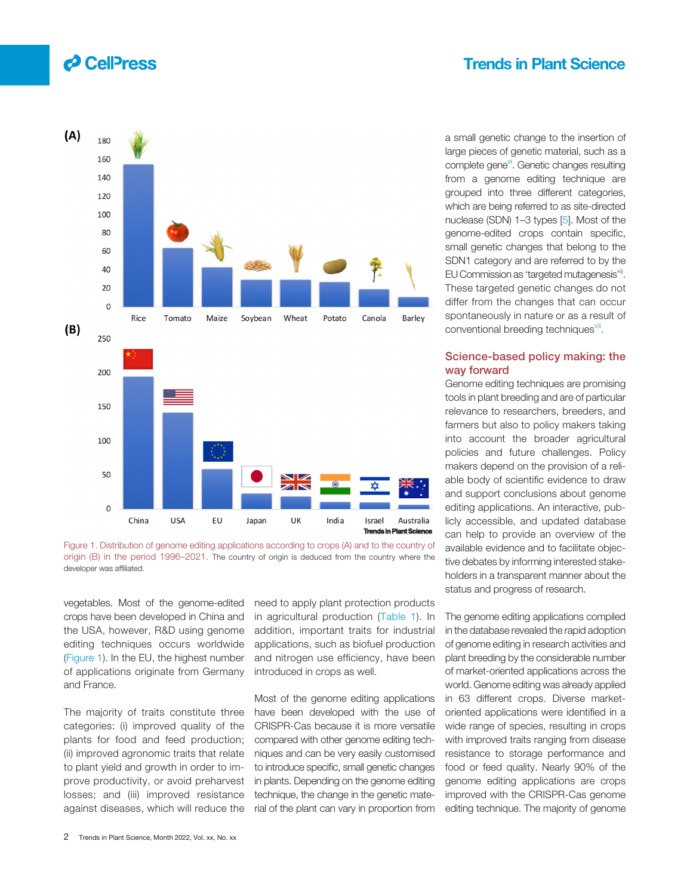## Trends in Plant Science

<span id="page-1-0"></span>



vegetables. Most of the genome-edited crops have been developed in China and the USA, however, R&D using genome editing techniques occurs worldwide (Figure 1). In the EU, the highest number of applications originate from Germany and France.

The majority of traits constitute three categories: (i) improved quality of the plants for food and feed production; (ii) improved agronomic traits that relate to plant yield and growth in order to improve productivity, or avoid preharvest losses; and (iii) improved resistance against diseases, which will reduce the

need to apply plant protection products in agricultural production ([Table 1](#page-2-0)). In addition, important traits for industrial applications, such as biofuel production and nitrogen use efficiency, have been introduced in crops as well.

Most of the genome editing applications have been developed with the use of CRISPR-Cas because it is more versatile compared with other genome editing techniques and can be very easily customised to introduce specific, small genetic changes in plants. Depending on the genome editing technique, the change in the genetic material of the plant can vary in proportion from a small genetic change to the insertion of large pieces of genetic material, such as a complete gene<sup>vi</sup>. Genetic changes resulting from a genome editing technique are grouped into three different categories, which are being referred to as site-directed nuclease (SDN) 1–3 types [[5\]](#page-2-0). Most of the genome-edited crops contain specific, small genetic changes that belong to the SDN1 category and are referred to by the EU Commission as 'targeted mutagenesis'<sup>ii</sup>. These targeted genetic changes do not differ from the changes that can occur spontaneously in nature or as a result of conventional breeding techniques<sup>vii</sup>.

#### Science-based policy making: the way forward

Genome editing techniques are promising tools in plant breeding and are of particular relevance to researchers, breeders, and farmers but also to policy makers taking into account the broader agricultural policies and future challenges. Policy makers depend on the provision of a reliable body of scientific evidence to draw and support conclusions about genome editing applications. An interactive, publicly accessible, and updated database can help to provide an overview of the available evidence and to facilitate objective debates by informing interested stakeholders in a transparent manner about the status and progress of research.

The genome editing applications compiled in the database revealed the rapid adoption of genome editing in research activities and plant breeding by the considerable number of market-oriented applications across the world. Genome editing was already applied in 63 different crops. Diverse marketoriented applications were identified in a wide range of species, resulting in crops with improved traits ranging from disease resistance to storage performance and food or feed quality. Nearly 90% of the genome editing applications are crops improved with the CRISPR-Cas genome editing technique. The majority of genome